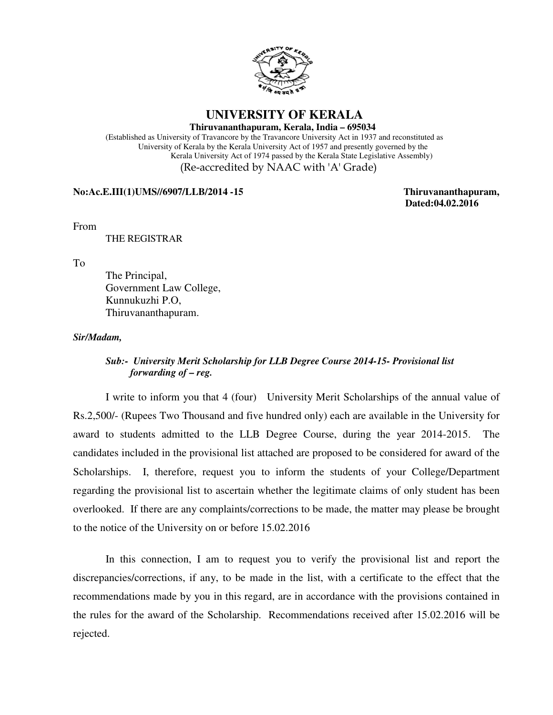

# **UNIVERSITY OF KERALA**

**Thiruvananthapuram, Kerala, India – 695034**

 (Established as University of Travancore by the Travancore University Act in 1937 and reconstituted as University of Kerala by the Kerala University Act of 1957 and presently governed by the Kerala University Act of 1974 passed by the Kerala State Legislative Assembly) (Re-accredited by NAAC with 'A' Grade)

### **No:Ac.E.III(1)UMS//6907/LLB/2014 -15 Thiruvananthapuram,**

 **Dated:04.02.2016**

From

THE REGISTRAR

To

 The Principal, Government Law College, Kunnukuzhi P.O, Thiruvananthapuram.

#### *Sir/Madam,*

## *Sub:- University Merit Scholarship for LLB Degree Course 2014-15- Provisional list forwarding of – reg.*

 I write to inform you that 4 (four) University Merit Scholarships of the annual value of Rs.2,500/- (Rupees Two Thousand and five hundred only) each are available in the University for award to students admitted to the LLB Degree Course, during the year 2014-2015. The candidates included in the provisional list attached are proposed to be considered for award of the Scholarships. I, therefore, request you to inform the students of your College/Department regarding the provisional list to ascertain whether the legitimate claims of only student has been overlooked. If there are any complaints/corrections to be made, the matter may please be brought to the notice of the University on or before 15.02.2016

 In this connection, I am to request you to verify the provisional list and report the discrepancies/corrections, if any, to be made in the list, with a certificate to the effect that the recommendations made by you in this regard, are in accordance with the provisions contained in the rules for the award of the Scholarship. Recommendations received after 15.02.2016 will be rejected.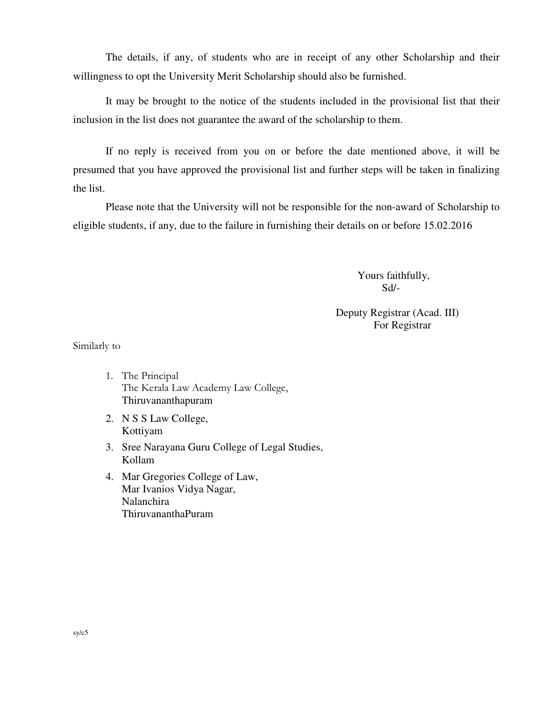The details, if any, of students who are in receipt of any other Scholarship and their willingness to opt the University Merit Scholarship should also be furnished.

It may be brought to the notice of the students included in the provisional list that their inclusion in the list does not guarantee the award of the scholarship to them.

 If no reply is received from you on or before the date mentioned above, it will be presumed that you have approved the provisional list and further steps will be taken in finalizing the list.

 Please note that the University will not be responsible for the non-award of Scholarship to eligible students, if any, due to the failure in furnishing their details on or before 15.02.2016

> Yours faithfully, Sd/-

## Deputy Registrar (Acad. III) For Registrar

Similarly to

- 1. The Principal The Kerala Law Academy Law College, Thiruvananthapuram
- 2. N S S Law College, Kottiyam
- 3. Sree Narayana Guru College of Legal Studies, Kollam
- 4. Mar Gregories College of Law, Mar Ivanios Vidya Nagar, Nalanchira ThiruvananthaPuram